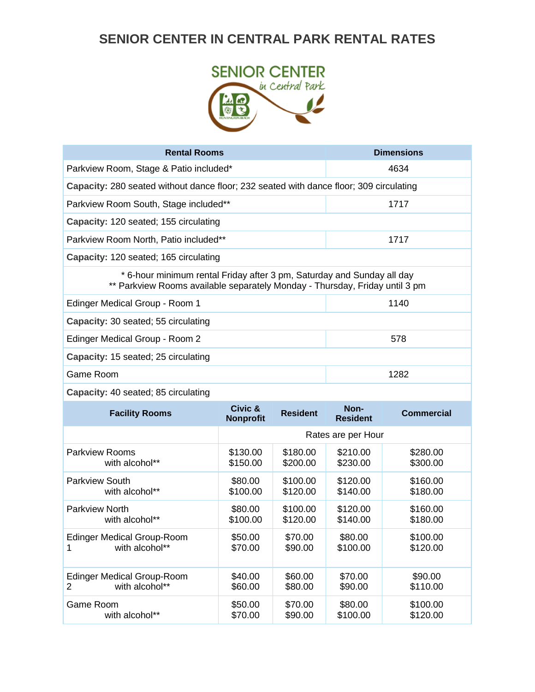## **SENIOR CENTER IN CENTRAL PARK RENTAL RATES**



| <b>Rental Rooms</b>                                                                                                                                   |                             |                 |                         | <b>Dimensions</b> |  |
|-------------------------------------------------------------------------------------------------------------------------------------------------------|-----------------------------|-----------------|-------------------------|-------------------|--|
| Parkview Room, Stage & Patio included*                                                                                                                |                             | 4634            |                         |                   |  |
| Capacity: 280 seated without dance floor; 232 seated with dance floor; 309 circulating                                                                |                             |                 |                         |                   |  |
| Parkview Room South, Stage included**                                                                                                                 |                             |                 | 1717                    |                   |  |
| Capacity: 120 seated; 155 circulating                                                                                                                 |                             |                 |                         |                   |  |
| Parkview Room North, Patio included**                                                                                                                 |                             |                 | 1717                    |                   |  |
| Capacity: 120 seated; 165 circulating                                                                                                                 |                             |                 |                         |                   |  |
| * 6-hour minimum rental Friday after 3 pm, Saturday and Sunday all day<br>** Parkview Rooms available separately Monday - Thursday, Friday until 3 pm |                             |                 |                         |                   |  |
| Edinger Medical Group - Room 1                                                                                                                        |                             |                 |                         | 1140              |  |
| Capacity: 30 seated; 55 circulating                                                                                                                   |                             |                 |                         |                   |  |
| Edinger Medical Group - Room 2                                                                                                                        |                             | 578             |                         |                   |  |
| Capacity: 15 seated; 25 circulating                                                                                                                   |                             |                 |                         |                   |  |
| Game Room                                                                                                                                             |                             | 1282            |                         |                   |  |
| Capacity: 40 seated; 85 circulating                                                                                                                   |                             |                 |                         |                   |  |
| <b>Facility Rooms</b>                                                                                                                                 | Civic &<br><b>Nonprofit</b> | <b>Resident</b> | Non-<br><b>Resident</b> | <b>Commercial</b> |  |

| <b>FACILITY ROOTIS</b>                            | <b>Nonprofit</b>   | Resident           | <b>Resident</b>    | Commercial          |
|---------------------------------------------------|--------------------|--------------------|--------------------|---------------------|
|                                                   |                    |                    | Rates are per Hour |                     |
| Parkview Rooms                                    | \$130.00           | \$180.00           | \$210.00           | \$280.00            |
| with alcohol**                                    | \$150.00           | \$200.00           | \$230.00           | \$300.00            |
| Parkview South                                    | \$80.00            | \$100.00           | \$120.00           | \$160.00            |
| with alcohol**                                    | \$100.00           | \$120.00           | \$140.00           | \$180.00            |
| <b>Parkview North</b>                             | \$80.00            | \$100.00           | \$120.00           | \$160.00            |
| with alcohol**                                    | \$100.00           | \$120.00           | \$140.00           | \$180.00            |
| Edinger Medical Group-Room                        | \$50.00            | \$70.00            | \$80.00            | \$100.00            |
| with alcohol**                                    | \$70.00            | \$90.00            | \$100.00           | \$120.00            |
| Edinger Medical Group-Room<br>with alcohol**<br>2 | \$40.00<br>\$60.00 | \$60.00<br>\$80.00 | \$70.00<br>\$90.00 | \$90.00<br>\$110.00 |
| Game Room                                         | \$50.00            | \$70.00            | \$80.00            | \$100.00            |
| with alcohol**                                    | \$70.00            | \$90.00            | \$100.00           | \$120.00            |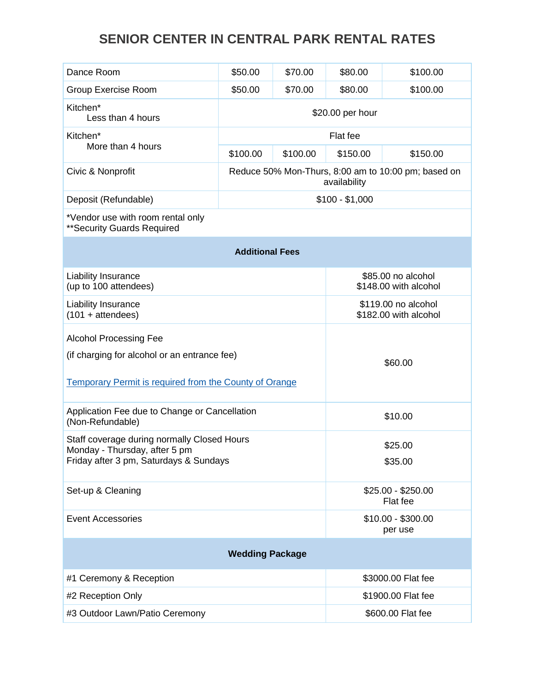## **SENIOR CENTER IN CENTRAL PARK RENTAL RATES**

| Dance Room                                                              | \$50.00                                                             | \$70.00                                      | \$80.00  | \$100.00 |
|-------------------------------------------------------------------------|---------------------------------------------------------------------|----------------------------------------------|----------|----------|
| <b>Group Exercise Room</b><br>\$50.00<br>\$70.00                        |                                                                     | \$80.00                                      | \$100.00 |          |
| Kitchen*<br>Less than 4 hours                                           | \$20.00 per hour                                                    |                                              |          |          |
| Kitchen*                                                                | Flat fee                                                            |                                              |          |          |
| More than 4 hours                                                       | \$100.00                                                            | \$100.00                                     | \$150.00 | \$150.00 |
| Civic & Nonprofit                                                       | Reduce 50% Mon-Thurs, 8:00 am to 10:00 pm; based on<br>availability |                                              |          |          |
| Deposit (Refundable)                                                    | $$100 - $1,000$                                                     |                                              |          |          |
| *Vendor use with room rental only<br>** Security Guards Required        |                                                                     |                                              |          |          |
|                                                                         | <b>Additional Fees</b>                                              |                                              |          |          |
| Liability Insurance<br>(up to 100 attendees)                            |                                                                     | \$85.00 no alcohol<br>\$148.00 with alcohol  |          |          |
| Liability Insurance<br>$(101 + \text{attendees})$                       |                                                                     | \$119.00 no alcohol<br>\$182.00 with alcohol |          |          |
| <b>Alcohol Processing Fee</b>                                           |                                                                     |                                              |          |          |
| (if charging for alcohol or an entrance fee)                            |                                                                     |                                              | \$60.00  |          |
|                                                                         |                                                                     |                                              |          |          |
| <b>Temporary Permit is required from the County of Orange</b>           |                                                                     |                                              |          |          |
| Application Fee due to Change or Cancellation<br>(Non-Refundable)       |                                                                     |                                              | \$10.00  |          |
| Staff coverage during normally Closed Hours                             |                                                                     |                                              | \$25.00  |          |
| Monday - Thursday, after 5 pm<br>Friday after 3 pm, Saturdays & Sundays |                                                                     |                                              | \$35.00  |          |
| Set-up & Cleaning                                                       |                                                                     | \$25.00 - \$250.00<br>Flat fee               |          |          |
| <b>Event Accessories</b>                                                |                                                                     | \$10.00 - \$300.00                           |          |          |
|                                                                         |                                                                     |                                              | per use  |          |
| <b>Wedding Package</b>                                                  |                                                                     |                                              |          |          |
| #1 Ceremony & Reception                                                 |                                                                     | \$3000.00 Flat fee                           |          |          |
| #2 Reception Only                                                       |                                                                     | \$1900.00 Flat fee                           |          |          |
| #3 Outdoor Lawn/Patio Ceremony                                          |                                                                     | \$600.00 Flat fee                            |          |          |